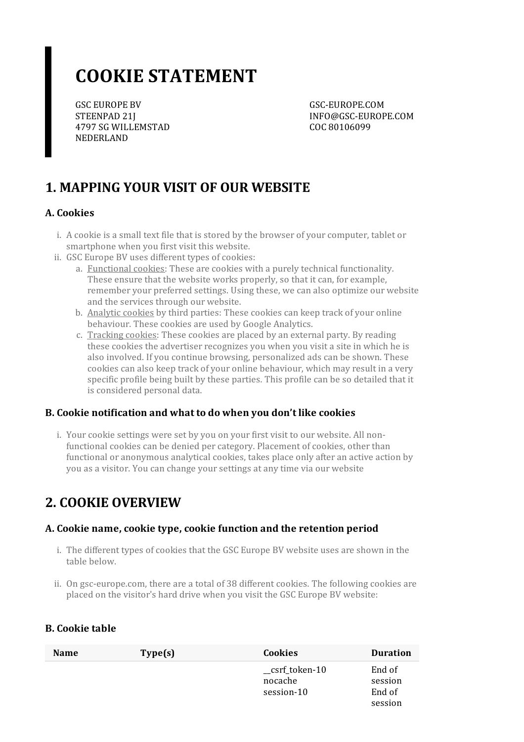# **COOKIE STATEMENT**

GSC EUROPE BV STEENPAD 21J 4797 SG WILLEMSTAD NEDERLAND

GSC-EUROPE.COM INFO@GSC-EUROPE.COM COC 80106099

# **1. MAPPING YOUR VISIT OF OUR WEBSITE**

#### **A. Cookies**

- i. A cookie is a small text file that is stored by the browser of your computer, tablet or smartphone when you first visit this website.
- ii. GSC Europe BV uses different types of cookies:
	- a. Functional cookies: These are cookies with a purely technical functionality. These ensure that the website works properly, so that it can, for example, remember your preferred settings. Using these, we can also optimize our website and the services through our website.
	- b. Analytic cookies by third parties: These cookies can keep track of your online behaviour. These cookies are used by Google Analytics.
	- c. Tracking cookies: These cookies are placed by an external party. By reading these cookies the advertiser recognizes you when you visit a site in which he is also involved. If you continue browsing, personalized ads can be shown. These cookies can also keep track of your online behaviour, which may result in a very specific profile being built by these parties. This profile can be so detailed that it is considered personal data.

#### **B. Cookie notification and what to do when you don't like cookies**

i. Your cookie settings were set by you on your first visit to our website. All nonfunctional cookies can be denied per category. Placement of cookies, other than functional or anonymous analytical cookies, takes place only after an active action by you as a visitor. You can change your settings at any time via our website

### **2. COOKIE OVERVIEW**

#### **A. Cookie name,cookie type,cookie function and the retention period**

- i. The different types of cookies that the GSC Europe BV website uses are shown in the table below.
- ii. On gsc-europe.com, there are a total of 38 different cookies. The following cookies are placed on the visitor's hard drive when you visit the GSC Europe BV website:

#### **B. Cookie table**

| <b>Name</b> | Type(s) | <b>Cookies</b>                          | <b>Duration</b>                        |
|-------------|---------|-----------------------------------------|----------------------------------------|
|             |         | _csrf_token-10<br>nocache<br>session-10 | End of<br>session<br>End of<br>session |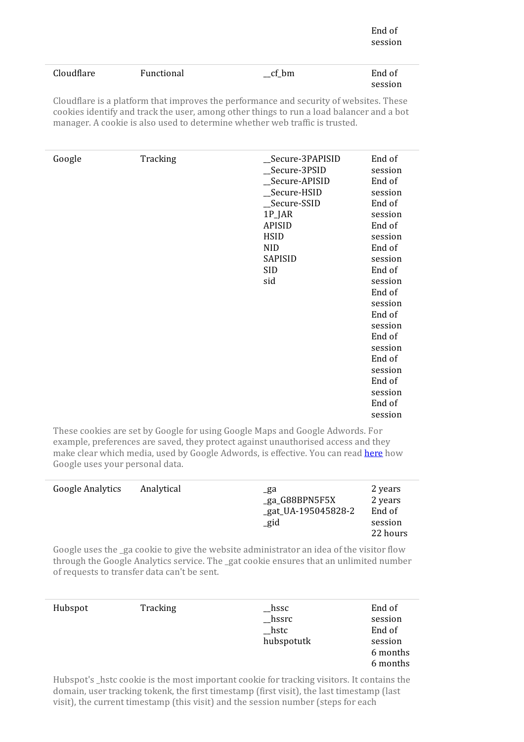| Cloudflare | Functional | ct<br>bm<br>$- -$ | End of  |
|------------|------------|-------------------|---------|
|            |            |                   | session |

Cloudflare is a platform that improves the performance and security of websites. These cookies identify and track the user, among other things to run a load balancer and a bot manager. A cookie is also used to determine whether web traffic is trusted.

These cookies are set by Google for using Google Maps and Google Adwords. For example, preferences are saved, they protect against unauthorised access and they make clear which media, used by Google Adwords, is effective. You can read [here](https://policies.google.com/technologies/partner-sites?hl=en) how Google uses your personal data.

| <b>Google Analytics</b> | Analytical | _ga<br>_ga_G88BPN5F5X<br>_gat_UA-195045828-2<br>_gid | 2 years<br>2 years<br>End of<br>session<br>22 hours |
|-------------------------|------------|------------------------------------------------------|-----------------------------------------------------|
|-------------------------|------------|------------------------------------------------------|-----------------------------------------------------|

Google uses the ga cookie to give the website administrator an idea of the visitor flow through the Google Analytics service. The \_gat cookie ensures that an unlimited number ofrequests to transfer data can't be sent.

| Hubspot | Tracking | $_{\rm -hssc}$   | End of   |
|---------|----------|------------------|----------|
|         |          | $_{\rm -}$ hssrc | session  |
|         |          | $\_$ hstc        | End of   |
|         |          | hubspotutk       | session  |
|         |          |                  | 6 months |
|         |          |                  | 6 months |
|         |          |                  |          |

Hubspot's hstc cookie is the most important cookie for tracking visitors. It contains the domain, user tracking tokenk, the first timestamp (first visit), the last timestamp (last visit), the current timestamp (this visit) and the session number(steps for each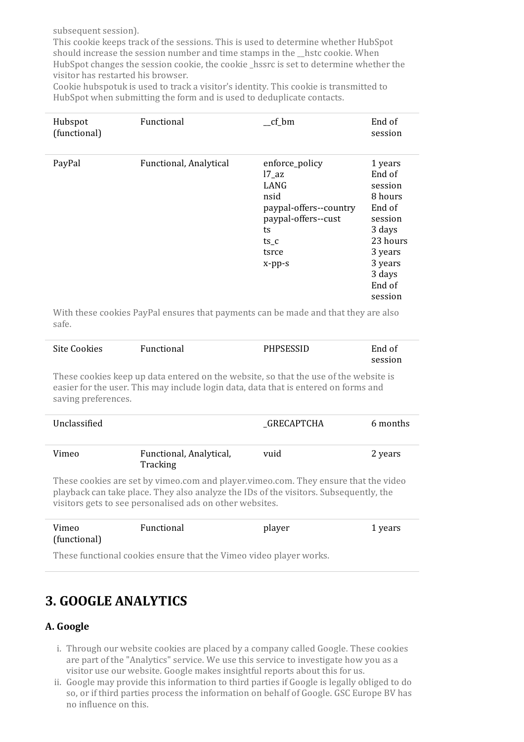subsequent session).

This cookie keeps track of the sessions. This is used to determine whether HubSpot should increase the session number and time stamps in the \_\_hstc cookie. When HubSpot changes the session cookie, the cookie hssrc is set to determine whether the visitor has restarted his browser.

Cookie hubspotuk is used to track a visitor's identity. This cookie is transmitted to HubSpot when submitting the form and is used to deduplicate contacts.

| Hubspot<br>(functional) | Functional             | $cf_bm$                                                                                                                              | End of<br>session                                                                                                                       |
|-------------------------|------------------------|--------------------------------------------------------------------------------------------------------------------------------------|-----------------------------------------------------------------------------------------------------------------------------------------|
| PayPal                  | Functional, Analytical | enforce_policy<br>$17$ _az<br>LANG<br>nsid<br>paypal-offers--country<br>paypal-offers--cust<br>ts<br>$ts_c$<br>tsrce<br>$x$ -pp- $s$ | 1 years<br>End of<br>session<br>8 hours<br>End of<br>session<br>3 days<br>23 hours<br>3 years<br>3 years<br>3 days<br>End of<br>session |

With these cookies PayPal ensures that payments can be made and that they are also safe.

| Site Cookies | Functional | <b>PHPSESSID</b> | End of  |
|--------------|------------|------------------|---------|
|              |            |                  | session |

These cookies keep up data entered on the website, so that the use of the website is easier for the user. This may include login data, data that is entered on forms and saving preferences.

| Unclassified |                                     | _GRECAPTCHA | 6 months |
|--------------|-------------------------------------|-------------|----------|
| Vimeo        | Functional, Analytical,<br>Tracking | vuid        | 2 years  |

These cookies are set by vimeo.com and player.vimeo.com. They ensure that the video playback can take place. They also analyze the IDs of the visitors. Subsequently, the visitors gets to see personalised ads on other websites.

| Vimeo        | Functional | player | 1 years |
|--------------|------------|--------|---------|
| (functional) |            |        |         |

These functional cookies ensure that the Vimeo video player works.

# **3. GOOGLE ANALYTICS**

#### **A. Google**

- i. Through our website cookies are placed by a company called Google. These cookies are part of the "Analytics" service. We use this service to investigate how you as a visitor use our website. Google makes insightful reports about this for us.
- ii. Google may provide this information to third parties if Google is legally obliged to do so, or if third parties process the information on behalf of Google. GSC Europe BV has no influence on this.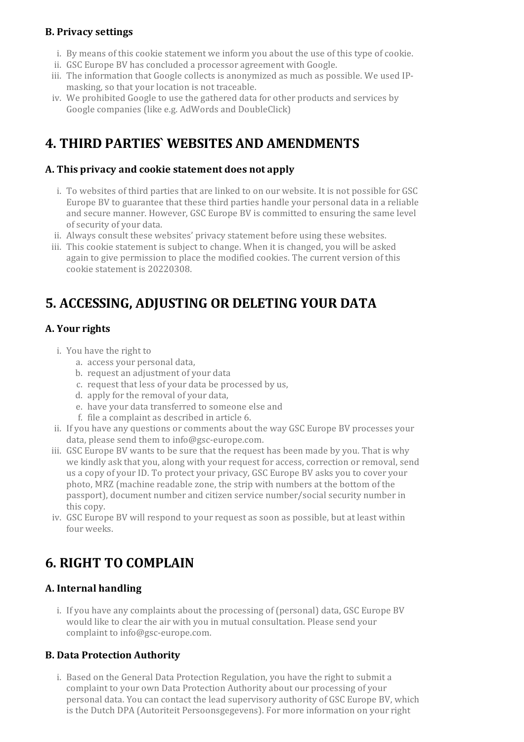#### **B. Privacy settings**

- i. By means of this cookie statement we inform you about the use of this type of cookie.
- ii. GSC Europe BV has concluded a processor agreement with Google.
- iii. The information that Google collects is anonymized as much as possible. We used IPmasking, so that your location is not traceable.
- iv. We prohibited Google to use the gathered data for other products and services by Google companies (like e.g. AdWords and DoubleClick)

# **4. THIRD PARTIES` WEBSITES AND AMENDMENTS**

#### **A. This privacy and cookie statement does not apply**

- i. To websites of third parties that are linked to on our website. It is not possible for GSC Europe BV to guarantee that these third parties handle your personal data in a reliable and secure manner. However, GSC Europe BV is committed to ensuring the same level of security of your data.
- ii. Always consult these websites' privacy statement before using these websites.
- iii. This cookie statement is subject to change. When it is changed, you will be asked again to give permission to place the modified cookies. The current version of this cookie statement is 20220308.

### **5. ACCESSING, ADJUSTING OR DELETING YOUR DATA**

#### **A. Yourrights**

- i. You have the right to
	- a. access your personal data,
	- b. request an adjustment of your data
	- c. request that less of your data be processed by us,
	- d. apply for the removal of your data,
	- e. have your data transferred to someone else and
	- f. file a complaint as described in article 6.
- ii. If you have any questions or comments about the way GSC Europe BV processes your data, please send them to info@gsc-europe.com.
- iii. GSC Europe BV wants to be sure that the request has been made by you. That is why we kindly ask that you, along with your request for access, correction or removal, send us a copy of your ID. To protect your privacy, GSC Europe BV asks you to cover your photo, MRZ (machine readable zone, the strip with numbers at the bottom of the passport), document number and citizen service number/social security numberin this copy.
- iv. GSC Europe BV will respond to your request as soon as possible, but at least within four weeks.

# **6. RIGHT TO COMPLAIN**

#### **A. Internal handling**

i. If you have any complaints about the processing of (personal) data, GSC Europe BV would like to clear the air with you in mutual consultation. Please send your complaint to info@gsc-europe.com.

#### **B. Data Protection Authority**

i. Based on the General Data Protection Regulation, you have the right to submit a complaint to your own Data Protection Authority about our processing of your personal data. You can contact the lead supervisory authority of GSC Europe BV, which is the Dutch DPA (Autoriteit Persoonsgegevens). For more information on your right